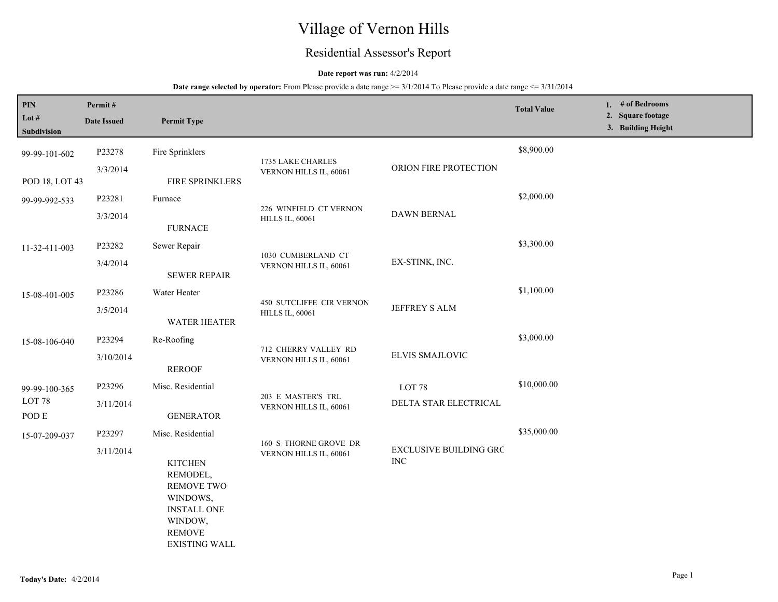# Village of Vernon Hills

## Residential Assessor's Report

## **Date report was run:** 4/2/2014

## **Date range selected by operator:** From Please provide a date range  $\geq$  3/1/2014 To Please provide a date range  $\leq$  3/31/2014

| $\mathbf{PIN}$<br>Lot #<br>Subdivision | Permit#<br><b>Date Issued</b>                                                                                                                      | <b>Permit Type</b>                         |                                                    |                       | <b>Total Value</b> | 1. # of Bedrooms<br>2. Square footage<br>3. Building Height |  |
|----------------------------------------|----------------------------------------------------------------------------------------------------------------------------------------------------|--------------------------------------------|----------------------------------------------------|-----------------------|--------------------|-------------------------------------------------------------|--|
| 99-99-101-602                          | P23278<br>3/3/2014                                                                                                                                 | Fire Sprinklers                            | 1735 LAKE CHARLES<br>VERNON HILLS IL, 60061        | ORION FIRE PROTECTION | \$8,900.00         |                                                             |  |
| POD 18, LOT 43                         |                                                                                                                                                    | FIRE SPRINKLERS                            |                                                    |                       |                    |                                                             |  |
| 99-99-992-533                          | P23281                                                                                                                                             | Furnace                                    | 226 WINFIELD CT VERNON<br><b>HILLS IL, 60061</b>   | <b>DAWN BERNAL</b>    | \$2,000.00         |                                                             |  |
|                                        | 3/3/2014                                                                                                                                           | <b>FURNACE</b>                             |                                                    |                       |                    |                                                             |  |
| 11-32-411-003                          | P23282                                                                                                                                             | Sewer Repair                               | 1030 CUMBERLAND CT<br>VERNON HILLS IL, 60061       | EX-STINK, INC.        | \$3,300.00         |                                                             |  |
|                                        | 3/4/2014                                                                                                                                           | <b>SEWER REPAIR</b>                        |                                                    |                       |                    |                                                             |  |
| 15-08-401-005                          | P23286                                                                                                                                             | Water Heater                               | 450 SUTCLIFFE CIR VERNON<br><b>HILLS IL, 60061</b> | JEFFREY S ALM         | \$1,100.00         |                                                             |  |
|                                        | 3/5/2014                                                                                                                                           | <b>WATER HEATER</b>                        |                                                    |                       |                    |                                                             |  |
| 15-08-106-040                          | P23294                                                                                                                                             | Re-Roofing                                 | 712 CHERRY VALLEY RD                               | ELVIS SMAJLOVIC       | \$3,000.00         |                                                             |  |
|                                        | 3/10/2014                                                                                                                                          | <b>REROOF</b>                              | VERNON HILLS IL, 60061                             |                       |                    |                                                             |  |
| 99-99-100-365<br>LOT 78<br>POD E       | P23296                                                                                                                                             | Misc. Residential                          | 203 E MASTER'S TRL                                 | LOT <sub>78</sub>     | \$10,000.00        |                                                             |  |
|                                        | 3/11/2014                                                                                                                                          | VERNON HILLS IL, 60061<br><b>GENERATOR</b> | DELTA STAR ELECTRICAL                              |                       |                    |                                                             |  |
| 15-07-209-037                          | P23297                                                                                                                                             | Misc. Residential                          | 160 S THORNE GROVE DR                              |                       | \$35,000.00        |                                                             |  |
|                                        | 3/11/2014<br><b>KITCHEN</b><br>REMODEL,<br><b>REMOVE TWO</b><br>WINDOWS,<br><b>INSTALL ONE</b><br>WINDOW,<br><b>REMOVE</b><br><b>EXISTING WALL</b> | VERNON HILLS IL, 60061                     | <b>EXCLUSIVE BUILDING GRC</b><br>$\rm{INC}$        |                       |                    |                                                             |  |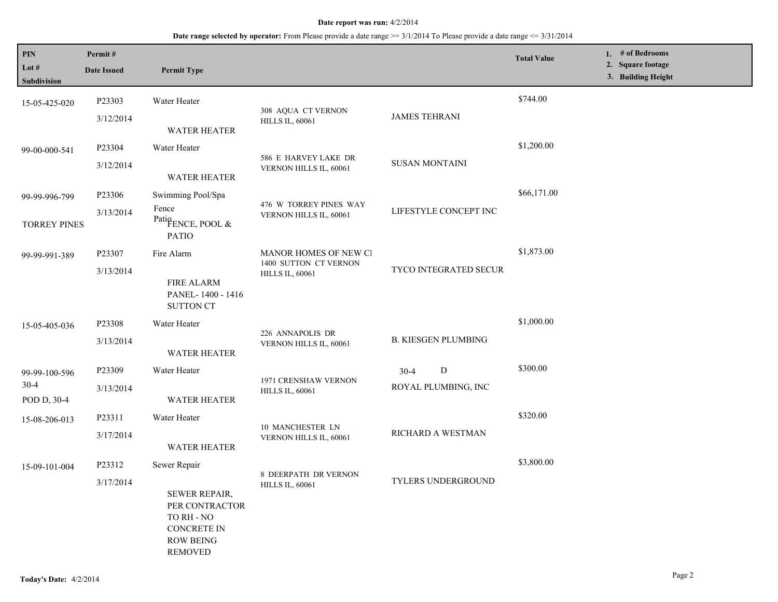## **Date range selected by operator:** From Please provide a date range >= 3/1/2014 To Please provide a date range <= 3/31/2014

| PIN<br>Lot #<br>Subdivision            | Permit#<br><b>Date Issued</b> | <b>Permit Type</b>                                                                                                               |                                                                          |                                      | <b>Total Value</b> | 1. # of Bedrooms<br>2. Square footage<br>3. Building Height |
|----------------------------------------|-------------------------------|----------------------------------------------------------------------------------------------------------------------------------|--------------------------------------------------------------------------|--------------------------------------|--------------------|-------------------------------------------------------------|
| 15-05-425-020                          | P23303<br>3/12/2014           | Water Heater<br><b>WATER HEATER</b>                                                                                              | 308 AQUA CT VERNON<br><b>HILLS IL, 60061</b>                             | <b>JAMES TEHRANI</b>                 | \$744.00           |                                                             |
| 99-00-000-541                          | P23304<br>3/12/2014           | Water Heater<br><b>WATER HEATER</b>                                                                                              | 586 E HARVEY LAKE DR<br>VERNON HILLS IL, 60061                           | <b>SUSAN MONTAINI</b>                | \$1,200.00         |                                                             |
| 99-99-996-799<br><b>TORREY PINES</b>   | P23306<br>3/13/2014           | Swimming Pool/Spa<br>Fence<br>Patio <sub>FENCE</sub> , POOL &<br><b>PATIO</b>                                                    | 476 W TORREY PINES WAY<br>VERNON HILLS IL, 60061                         | LIFESTYLE CONCEPT INC                | \$66,171.00        |                                                             |
| 99-99-991-389                          | P23307<br>3/13/2014           | Fire Alarm<br><b>FIRE ALARM</b><br>PANEL-1400 - 1416<br><b>SUTTON CT</b>                                                         | MANOR HOMES OF NEW CI<br>1400 SUTTON CT VERNON<br><b>HILLS IL, 60061</b> | <b>TYCO INTEGRATED SECUR</b>         | \$1,873.00         |                                                             |
| 15-05-405-036                          | P23308<br>3/13/2014           | Water Heater<br><b>WATER HEATER</b>                                                                                              | 226 ANNAPOLIS DR<br>VERNON HILLS IL, 60061                               | <b>B. KIESGEN PLUMBING</b>           | \$1,000.00         |                                                             |
| 99-99-100-596<br>$30-4$<br>POD D, 30-4 | P23309<br>3/13/2014           | Water Heater<br><b>WATER HEATER</b>                                                                                              | 1971 CRENSHAW VERNON<br><b>HILLS IL, 60061</b>                           | D<br>$30 - 4$<br>ROYAL PLUMBING, INC | \$300.00           |                                                             |
| 15-08-206-013                          | P23311<br>3/17/2014           | Water Heater<br><b>WATER HEATER</b>                                                                                              | 10 MANCHESTER LN<br>VERNON HILLS IL, 60061                               | RICHARD A WESTMAN                    | \$320.00           |                                                             |
| 15-09-101-004                          | P23312<br>3/17/2014           | Sewer Repair<br><b>SEWER REPAIR,</b><br>PER CONTRACTOR<br>TO RH - NO<br><b>CONCRETE IN</b><br><b>ROW BEING</b><br><b>REMOVED</b> | 8 DEERPATH DR VERNON<br><b>HILLS IL, 60061</b>                           | TYLERS UNDERGROUND                   | \$3,800.00         |                                                             |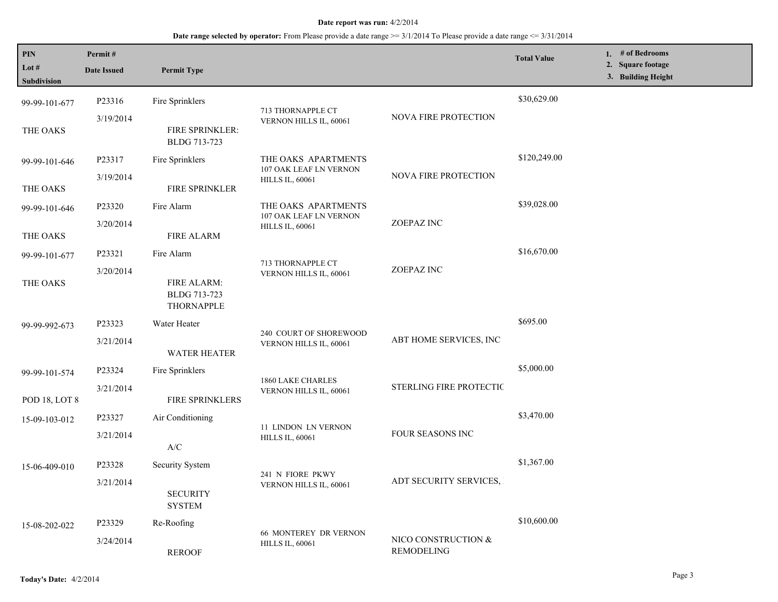## **Date range selected by operator:** From Please provide a date range >= 3/1/2014 To Please provide a date range <= 3/31/2014

| PIN<br>Lot $#$<br>Subdivision | Permit#<br><b>Date Issued</b> | <b>Permit Type</b>                               |                                                        |                                   | <b>Total Value</b> | 1. # of Bedrooms<br>2. Square footage<br>3. Building Height |
|-------------------------------|-------------------------------|--------------------------------------------------|--------------------------------------------------------|-----------------------------------|--------------------|-------------------------------------------------------------|
| 99-99-101-677                 | P23316                        | Fire Sprinklers                                  | 713 THORNAPPLE CT<br>VERNON HILLS IL, 60061            | <b>NOVA FIRE PROTECTION</b>       | \$30,629.00        |                                                             |
| THE OAKS                      | 3/19/2014                     | FIRE SPRINKLER:<br>BLDG 713-723                  |                                                        |                                   |                    |                                                             |
| 99-99-101-646                 | P23317                        | Fire Sprinklers                                  | THE OAKS APARTMENTS<br>107 OAK LEAF LN VERNON          | NOVA FIRE PROTECTION              | \$120,249.00       |                                                             |
| THE OAKS                      | 3/19/2014                     | FIRE SPRINKLER                                   | <b>HILLS IL, 60061</b>                                 |                                   |                    |                                                             |
| 99-99-101-646                 | P23320                        | Fire Alarm                                       | THE OAKS APARTMENTS<br>107 OAK LEAF LN VERNON          |                                   | \$39,028.00        |                                                             |
| THE OAKS                      | 3/20/2014                     | <b>FIRE ALARM</b>                                | <b>HILLS IL, 60061</b>                                 | ZOEPAZ INC                        |                    |                                                             |
| 99-99-101-677                 | P23321                        | Fire Alarm                                       |                                                        | ZOEPAZ INC                        | \$16,670.00        |                                                             |
| THE OAKS                      | 3/20/2014                     | <b>FIRE ALARM:</b><br>BLDG 713-723<br>THORNAPPLE | 713 THORNAPPLE CT<br>VERNON HILLS IL, 60061            |                                   |                    |                                                             |
| 99-99-992-673                 | P23323                        | Water Heater                                     | 240 COURT OF SHOREWOOD<br>VERNON HILLS IL, 60061       | ABT HOME SERVICES, INC            | \$695.00           |                                                             |
|                               | 3/21/2014                     | <b>WATER HEATER</b>                              |                                                        |                                   |                    |                                                             |
| 99-99-101-574                 | P23324                        | Fire Sprinklers                                  |                                                        | STERLING FIRE PROTECTIC           | \$5,000.00         |                                                             |
| POD 18, LOT 8                 | 3/21/2014                     | <b>FIRE SPRINKLERS</b>                           | 1860 LAKE CHARLES<br>VERNON HILLS IL, 60061            |                                   |                    |                                                             |
| 15-09-103-012                 | P23327                        | Air Conditioning                                 | 11 LINDON LN VERNON                                    | FOUR SEASONS INC                  | \$3,470.00         |                                                             |
|                               | 3/21/2014                     | $\mathbf{A}/\mathbf{C}$                          | <b>HILLS IL, 60061</b>                                 |                                   |                    |                                                             |
| 15-06-409-010                 | P23328                        | Security System                                  | 241 N FIORE PKWY                                       | ADT SECURITY SERVICES,            | \$1,367.00         |                                                             |
|                               | 3/21/2014                     | <b>SECURITY</b><br><b>SYSTEM</b>                 | VERNON HILLS IL, 60061                                 |                                   |                    |                                                             |
| 15-08-202-022                 | P23329                        | Re-Roofing                                       |                                                        | NICO CONSTRUCTION &<br>REMODELING | \$10,600.00        |                                                             |
|                               | 3/24/2014                     | <b>REROOF</b>                                    | <b>66 MONTEREY DR VERNON</b><br><b>HILLS IL, 60061</b> |                                   |                    |                                                             |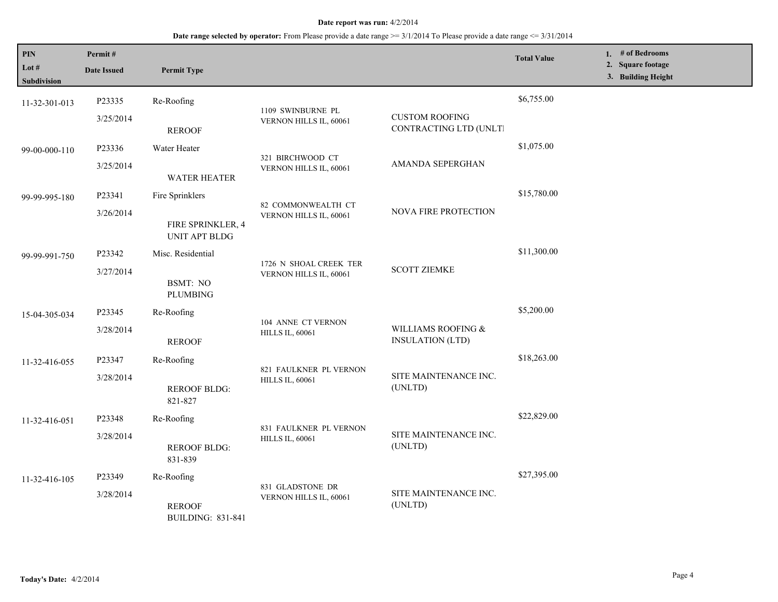## **Date range selected by operator:** From Please provide a date range >= 3/1/2014 To Please provide a date range <= 3/31/2014

| $\mathbf{PIN}$<br>Lot #<br><b>Subdivision</b> | Permit#<br><b>Date Issued</b> | <b>Permit Type</b>                        |                                                  |                                                 | <b>Total Value</b> | 1. # of Bedrooms<br>2. Square footage<br>3. Building Height |
|-----------------------------------------------|-------------------------------|-------------------------------------------|--------------------------------------------------|-------------------------------------------------|--------------------|-------------------------------------------------------------|
| 11-32-301-013                                 | P23335                        | Re-Roofing                                | 1109 SWINBURNE PL                                |                                                 | \$6,755.00         |                                                             |
|                                               | 3/25/2014                     | <b>REROOF</b>                             | VERNON HILLS IL, 60061                           | <b>CUSTOM ROOFING</b><br>CONTRACTING LTD (UNLT) |                    |                                                             |
| 99-00-000-110                                 | P23336                        | Water Heater                              | 321 BIRCHWOOD CT<br>VERNON HILLS IL, 60061       |                                                 | \$1,075.00         |                                                             |
|                                               | 3/25/2014                     | <b>WATER HEATER</b>                       |                                                  | AMANDA SEPERGHAN                                |                    |                                                             |
| 99-99-995-180                                 | P23341                        | Fire Sprinklers                           | 82 COMMONWEALTH CT                               | NOVA FIRE PROTECTION                            | \$15,780.00        |                                                             |
|                                               | 3/26/2014                     | FIRE SPRINKLER, 4<br>UNIT APT BLDG        | VERNON HILLS IL, 60061                           |                                                 |                    |                                                             |
| 99-99-991-750                                 | P23342                        | Misc. Residential                         | 1726 N SHOAL CREEK TER<br>VERNON HILLS IL, 60061 | <b>SCOTT ZIEMKE</b>                             | \$11,300.00        |                                                             |
|                                               | 3/27/2014                     | <b>BSMT: NO</b><br><b>PLUMBING</b>        |                                                  |                                                 |                    |                                                             |
| 15-04-305-034                                 | P23345                        | Re-Roofing                                |                                                  |                                                 | \$5,200.00         |                                                             |
|                                               | 3/28/2014                     | <b>REROOF</b>                             | 104 ANNE CT VERNON<br><b>HILLS IL, 60061</b>     | WILLIAMS ROOFING &<br><b>INSULATION (LTD)</b>   |                    |                                                             |
| 11-32-416-055                                 | P23347                        | Re-Roofing                                |                                                  | SITE MAINTENANCE INC.<br>(UNLTD)                | \$18,263.00        |                                                             |
|                                               | 3/28/2014                     | <b>REROOF BLDG:</b><br>821-827            | 821 FAULKNER PL VERNON<br><b>HILLS IL, 60061</b> |                                                 |                    |                                                             |
| 11-32-416-051                                 | P23348                        | Re-Roofing                                | 831 FAULKNER PL VERNON<br><b>HILLS IL, 60061</b> | SITE MAINTENANCE INC.<br>(UNLTD)                | \$22,829.00        |                                                             |
|                                               | 3/28/2014                     | <b>REROOF BLDG:</b><br>831-839            |                                                  |                                                 |                    |                                                             |
| 11-32-416-105                                 | P23349                        | Re-Roofing                                |                                                  | SITE MAINTENANCE INC.<br>(UNLTD)                | \$27,395.00        |                                                             |
|                                               | 3/28/2014                     | <b>REROOF</b><br><b>BUILDING: 831-841</b> | 831 GLADSTONE DR<br>VERNON HILLS IL, 60061       |                                                 |                    |                                                             |